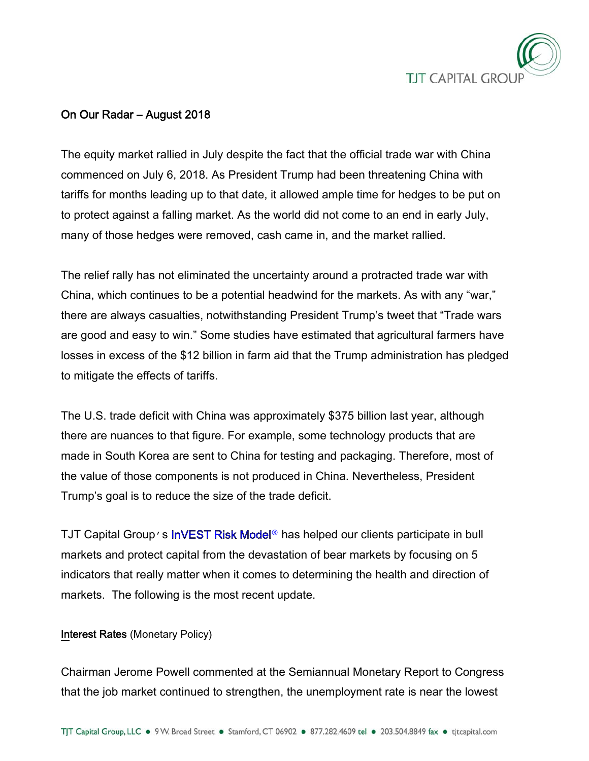

# On Our Radar – August 2018

The equity market rallied in July despite the fact that the official trade war with China commenced on July 6, 2018. As President Trump had been threatening China with tariffs for months leading up to that date, it allowed ample time for hedges to be put on to protect against a falling market. As the world did not come to an end in early July, many of those hedges were removed, cash came in, and the market rallied.

The relief rally has not eliminated the uncertainty around a protracted trade war with China, which continues to be a potential headwind for the markets. As with any "war," there are always casualties, notwithstanding President Trump's tweet that "Trade wars are good and easy to win." Some studies have estimated that agricultural farmers have losses in excess of the \$12 billion in farm aid that the Trump administration has pledged to mitigate the effects of tariffs.

The U.S. trade deficit with China was approximately \$375 billion last year, although there are nuances to that figure. For example, some technology products that are made in South Korea are sent to China for testing and packaging. Therefore, most of the value of those components is not produced in China. Nevertheless, President Trump's goal is to reduce the size of the trade deficit.

TJT Capital Group's [InVEST Risk Model](https://www.tjtcapital.com/invest-risk-model/)**®** has helped our clients participate in bull markets and protect capital from the devastation of bear markets by focusing on 5 indicators that really matter when it comes to determining the health and direction of markets. The following is the most recent update.

### Interest Rates (Monetary Policy)

Chairman Jerome Powell commented at the Semiannual Monetary Report to Congress that the job market continued to strengthen, the unemployment rate is near the lowest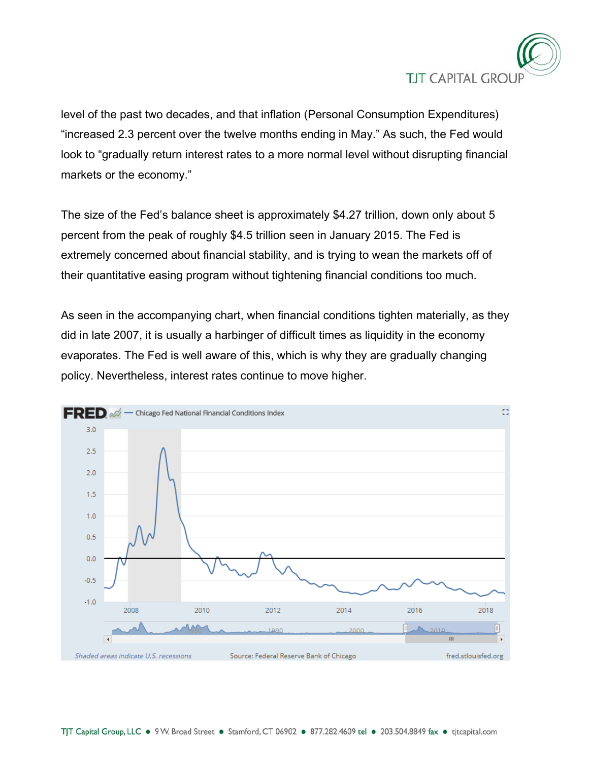

level of the past two decades, and that inflation (Personal Consumption Expenditures) "increased 2.3 percent over the twelve months ending in May." As such, the Fed would look to "gradually return interest rates to a more normal level without disrupting financial markets or the economy."

The size of the Fed's balance sheet is approximately \$4.27 trillion, down only about 5 percent from the peak of roughly \$4.5 trillion seen in January 2015. The Fed is extremely concerned about financial stability, and is trying to wean the markets off of their quantitative easing program without tightening financial conditions too much.

As seen in the accompanying chart, when financial conditions tighten materially, as they did in late 2007, it is usually a harbinger of difficult times as liquidity in the economy evaporates. The Fed is well aware of this, which is why they are gradually changing policy. Nevertheless, interest rates continue to move higher.

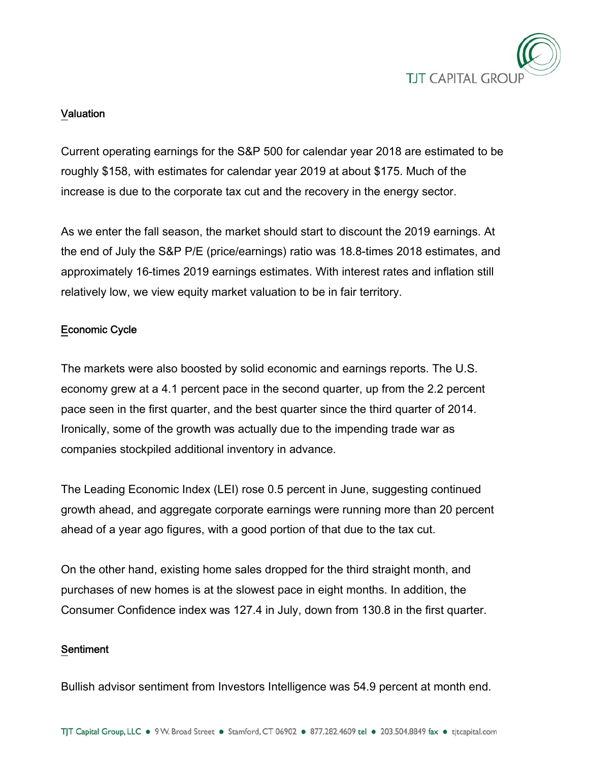

## Valuation

Current operating earnings for the S&P 500 for calendar year 2018 are estimated to be roughly \$158, with estimates for calendar year 2019 at about \$175. Much of the increase is due to the corporate tax cut and the recovery in the energy sector.

As we enter the fall season, the market should start to discount the 2019 earnings. At the end of July the S&P P/E (price/earnings) ratio was 18.8-times 2018 estimates, and approximately 16-times 2019 earnings estimates. With interest rates and inflation still relatively low, we view equity market valuation to be in fair territory.

## Economic Cycle

The markets were also boosted by solid economic and earnings reports. The U.S. economy grew at a 4.1 percent pace in the second quarter, up from the 2.2 percent pace seen in the first quarter, and the best quarter since the third quarter of 2014. Ironically, some of the growth was actually due to the impending trade war as companies stockpiled additional inventory in advance.

The Leading Economic Index (LEI) rose 0.5 percent in June, suggesting continued growth ahead, and aggregate corporate earnings were running more than 20 percent ahead of a year ago figures, with a good portion of that due to the tax cut.

On the other hand, existing home sales dropped for the third straight month, and purchases of new homes is at the slowest pace in eight months. In addition, the Consumer Confidence index was 127.4 in July, down from 130.8 in the first quarter.

### Sentiment

Bullish advisor sentiment from Investors Intelligence was 54.9 percent at month end.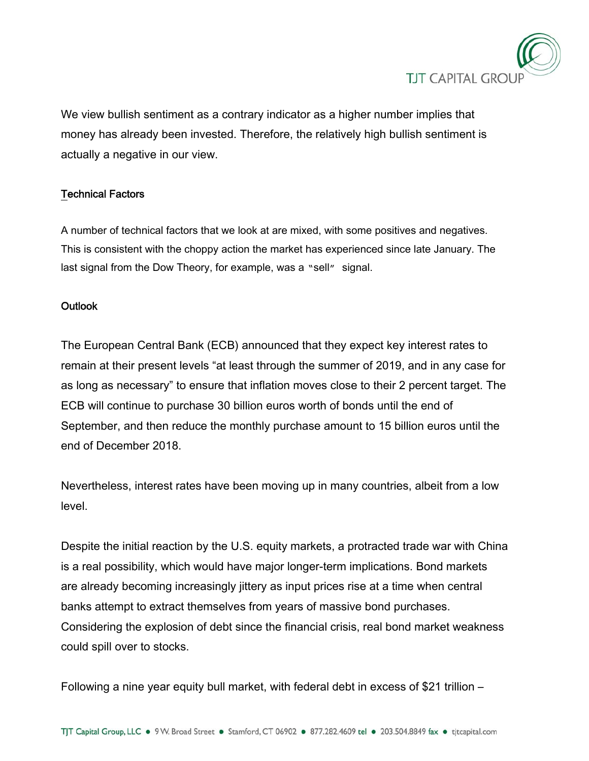

We view bullish sentiment as a contrary indicator as a higher number implies that money has already been invested. Therefore, the relatively high bullish sentiment is actually a negative in our view.

## Technical Factors

A number of technical factors that we look at are mixed, with some positives and negatives. This is consistent with the choppy action the market has experienced since late January. The last signal from the Dow Theory, for example, was a "sell" signal.

### **Outlook**

The European Central Bank (ECB) announced that they expect key interest rates to remain at their present levels "at least through the summer of 2019, and in any case for as long as necessary" to ensure that inflation moves close to their 2 percent target. The ECB will continue to purchase 30 billion euros worth of bonds until the end of September, and then reduce the monthly purchase amount to 15 billion euros until the end of December 2018.

Nevertheless, interest rates have been moving up in many countries, albeit from a low level.

Despite the initial reaction by the U.S. equity markets, a protracted trade war with China is a real possibility, which would have major longer-term implications. Bond markets are already becoming increasingly jittery as input prices rise at a time when central banks attempt to extract themselves from years of massive bond purchases. Considering the explosion of debt since the financial crisis, real bond market weakness could spill over to stocks.

Following a nine year equity bull market, with federal debt in excess of \$21 trillion –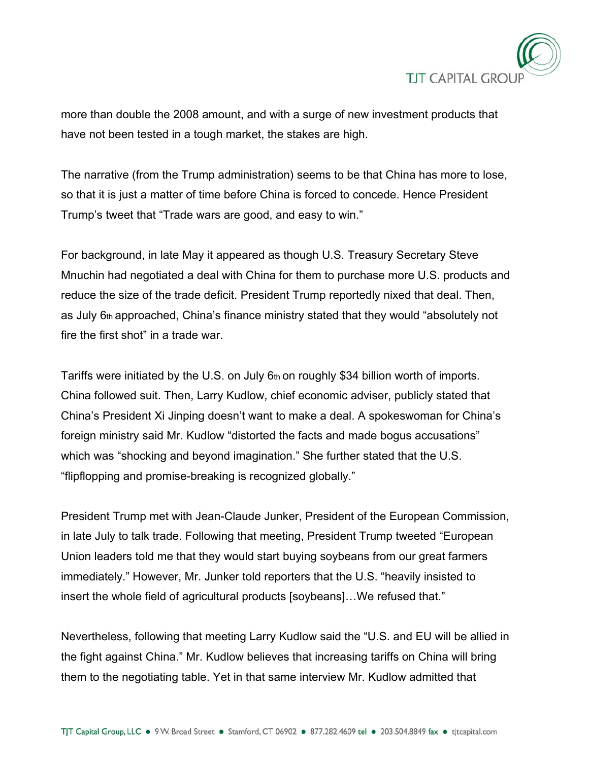

more than double the 2008 amount, and with a surge of new investment products that have not been tested in a tough market, the stakes are high.

The narrative (from the Trump administration) seems to be that China has more to lose, so that it is just a matter of time before China is forced to concede. Hence President Trump's tweet that "Trade wars are good, and easy to win."

For background, in late May it appeared as though U.S. Treasury Secretary Steve Mnuchin had negotiated a deal with China for them to purchase more U.S. products and reduce the size of the trade deficit. President Trump reportedly nixed that deal. Then, as July 6th approached, China's finance ministry stated that they would "absolutely not fire the first shot" in a trade war.

Tariffs were initiated by the U.S. on July  $6<sub>th</sub>$  on roughly \$34 billion worth of imports. China followed suit. Then, Larry Kudlow, chief economic adviser, publicly stated that China's President Xi Jinping doesn't want to make a deal. A spokeswoman for China's foreign ministry said Mr. Kudlow "distorted the facts and made bogus accusations" which was "shocking and beyond imagination." She further stated that the U.S. "flipflopping and promise-breaking is recognized globally."

President Trump met with Jean-Claude Junker, President of the European Commission, in late July to talk trade. Following that meeting, President Trump tweeted "European Union leaders told me that they would start buying soybeans from our great farmers immediately." However, Mr. Junker told reporters that the U.S. "heavily insisted to insert the whole field of agricultural products [soybeans]…We refused that."

Nevertheless, following that meeting Larry Kudlow said the "U.S. and EU will be allied in the fight against China." Mr. Kudlow believes that increasing tariffs on China will bring them to the negotiating table. Yet in that same interview Mr. Kudlow admitted that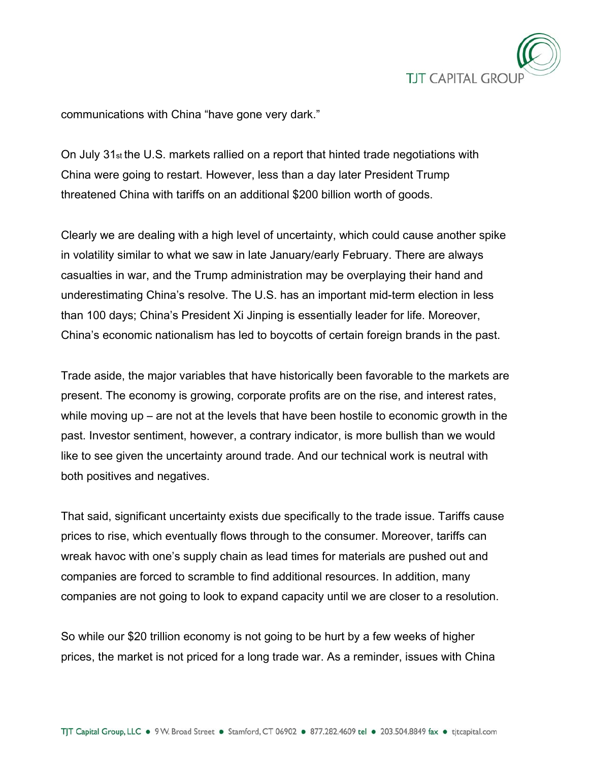

communications with China "have gone very dark."

On July  $31_{st}$  the U.S. markets rallied on a report that hinted trade negotiations with China were going to restart. However, less than a day later President Trump threatened China with tariffs on an additional \$200 billion worth of goods.

Clearly we are dealing with a high level of uncertainty, which could cause another spike in volatility similar to what we saw in late January/early February. There are always casualties in war, and the Trump administration may be overplaying their hand and underestimating China's resolve. The U.S. has an important mid-term election in less than 100 days; China's President Xi Jinping is essentially leader for life. Moreover, China's economic nationalism has led to boycotts of certain foreign brands in the past.

Trade aside, the major variables that have historically been favorable to the markets are present. The economy is growing, corporate profits are on the rise, and interest rates, while moving up – are not at the levels that have been hostile to economic growth in the past. Investor sentiment, however, a contrary indicator, is more bullish than we would like to see given the uncertainty around trade. And our technical work is neutral with both positives and negatives.

That said, significant uncertainty exists due specifically to the trade issue. Tariffs cause prices to rise, which eventually flows through to the consumer. Moreover, tariffs can wreak havoc with one's supply chain as lead times for materials are pushed out and companies are forced to scramble to find additional resources. In addition, many companies are not going to look to expand capacity until we are closer to a resolution.

So while our \$20 trillion economy is not going to be hurt by a few weeks of higher prices, the market is not priced for a long trade war. As a reminder, issues with China